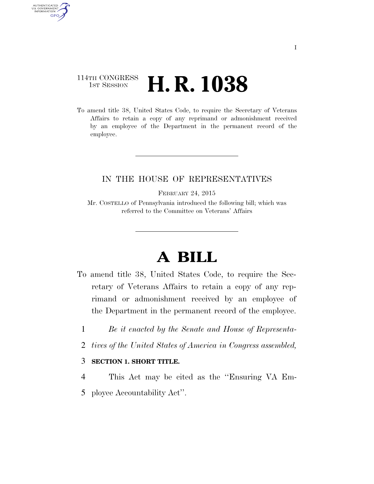## 114TH CONGRESS **1st Session H. R. 1038**

AUTHENTICATED<br>U.S. GOVERNMENT<br>INFORMATION

**GPO** 

To amend title 38, United States Code, to require the Secretary of Veterans Affairs to retain a copy of any reprimand or admonishment received by an employee of the Department in the permanent record of the employee.

### IN THE HOUSE OF REPRESENTATIVES

FEBRUARY 24, 2015

Mr. COSTELLO of Pennsylvania introduced the following bill; which was referred to the Committee on Veterans' Affairs

# **A BILL**

- To amend title 38, United States Code, to require the Secretary of Veterans Affairs to retain a copy of any reprimand or admonishment received by an employee of the Department in the permanent record of the employee.
	- 1 *Be it enacted by the Senate and House of Representa-*
	- 2 *tives of the United States of America in Congress assembled,*

#### 3 **SECTION 1. SHORT TITLE.**

4 This Act may be cited as the ''Ensuring VA Em-5 ployee Accountability Act''.